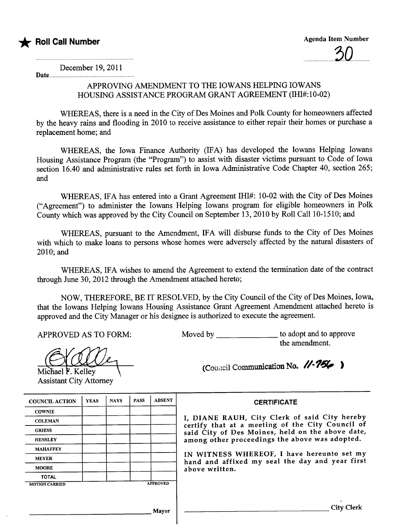

Date.

December 19,2011

## APPROVING AMENDMENT TO THE IOWANS HELPING IOWANS HOUSING ASSISTANCE PROGRAM GRANT AGREEMENT (IHI#:10-02)

WHEREAS, there is a need in the City of Des Moines and Polk County for homeowners affected by the heavy rains and flooding in 2010 to receive assistance to either repair their homes or purchase a replacement home; and

WHEREAS, the Iowa Finance Authority (IFA) has developed the Iowans Helping Iowans Housing Assistance Program (the "Program") to assist with disaster victims pursuant to Code of Iowa section 16.40 and administrative rules set forth in Iowa Administrative Code Chapter 40, section 265; and

WHEREAS, IFA has entered into a Grant Agreement IHI#: 10-02 with the City of Des Moines ("Agreement") to administer the Iowans Helping Iowans program for eligible homeowners in Polk County which was approved by the City Council on September 13,2010 by Roll Call 10-1510; and

WHEREAS, pursuant to the Amendment, IFA will disburse funds to the City of Des Moines with which to make loans to persons whose homes were adversely affected by the natural disasters of 2010; and

WHEREAS, IFA wishes to amend the Agreement to extend the termination date of the contract through June 30, 2012 through the Amendment attached hereto;

NOW, THEREFORE, BE IT RESOLVED, by the City Council of the City of Des Moines, Iowa, that the Iowans Helping Iowans Housing Assistance Grant Agreement Amendment attached hereto is approved and the City Manager or his designee is authorized to execute the agreement.

APPROVED AS TO FORM: Moved by to adopt and to approve

Michael  $\overline{F}$ . Kelley **Assistant City Attorney** 

| iviu vuu vy | $\omega$ accept and to approx |
|-------------|-------------------------------|
|             | the amendment.                |
|             |                               |
|             |                               |

(Council Communication No.  $1/256$ )

| <b>COUNCIL ACTION</b> | <b>YEAS</b> | <b>NAYS</b> | <b>PASS</b> | <b>ABSENT</b>   | <b>CERTIFICATE</b>                                                                                                                                                                                                                                                                                                         |
|-----------------------|-------------|-------------|-------------|-----------------|----------------------------------------------------------------------------------------------------------------------------------------------------------------------------------------------------------------------------------------------------------------------------------------------------------------------------|
| <b>COWNIE</b>         |             |             |             |                 | I, DIANE RAUH, City Clerk of said City hereby<br>certify that at a meeting of the City Council of<br>said City of Des Moines, held on the above date,<br>among other proceedings the above was adopted.<br>IN WITNESS WHEREOF, I have hereunto set my<br>hand and affixed my seal the day and year first<br>above written. |
| <b>COLEMAN</b>        |             |             |             |                 |                                                                                                                                                                                                                                                                                                                            |
| <b>GRIESS</b>         |             |             |             |                 |                                                                                                                                                                                                                                                                                                                            |
| <b>HENSLEY</b>        |             |             |             |                 |                                                                                                                                                                                                                                                                                                                            |
| <b>MAHAFFEY</b>       |             |             |             |                 |                                                                                                                                                                                                                                                                                                                            |
| <b>MEYER</b>          |             |             |             |                 |                                                                                                                                                                                                                                                                                                                            |
| <b>MOORE</b>          |             |             |             |                 |                                                                                                                                                                                                                                                                                                                            |
| <b>TOTAL</b>          |             |             |             |                 |                                                                                                                                                                                                                                                                                                                            |
| <b>MOTION CARRIED</b> |             |             |             | <b>APPROVED</b> |                                                                                                                                                                                                                                                                                                                            |
|                       |             |             |             |                 |                                                                                                                                                                                                                                                                                                                            |
|                       |             |             |             | Mavor           | <b>City Clerk</b>                                                                                                                                                                                                                                                                                                          |

 $\overline{\phantom{a}}$